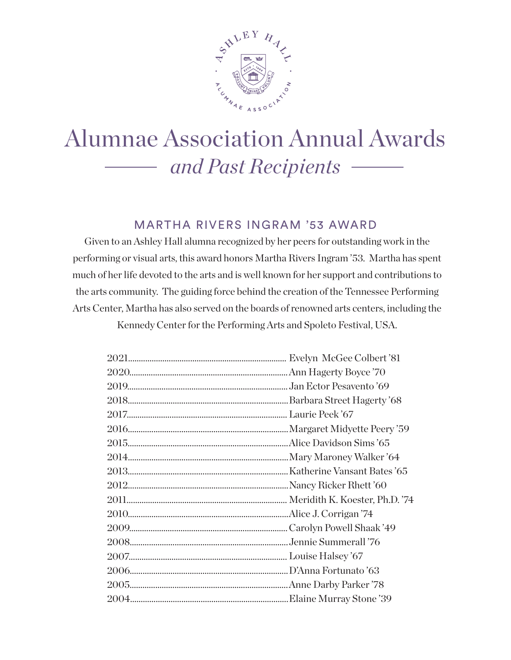

# Alumnae Association Annual Awards *and Past Recipients*

#### MARTHA RIVERS INGRAM '53 AWARD

Given to an Ashley Hall alumna recognized by her peers for outstanding work in the performing or visual arts, this award honors Martha Rivers Ingram '53. Martha has spent much of her life devoted to the arts and is well known for her support and contributions to the arts community. The guiding force behind the creation of the Tennessee Performing Arts Center, Martha has also served on the boards of renowned arts centers, including the Kennedy Center for the Performing Arts and Spoleto Festival, USA.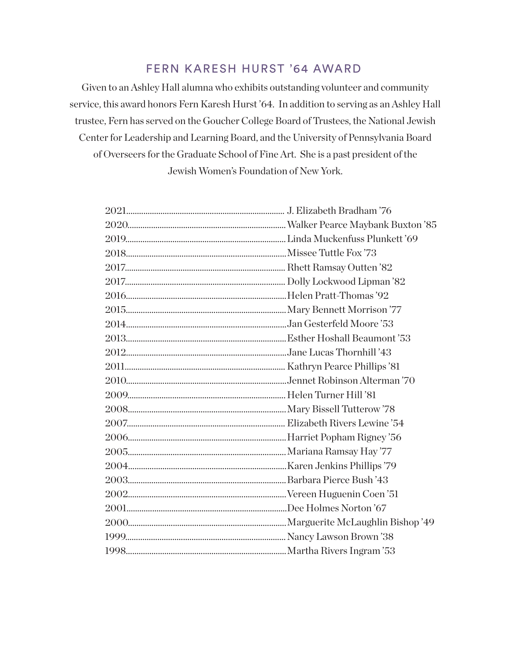#### FERN KARESH HURST '64 AWARD

Given to an Ashley Hall alumna who exhibits outstanding volunteer and community service, this award honors Fern Karesh Hurst '64. In addition to serving as an Ashley Hall trustee, Fern has served on the Goucher College Board of Trustees, the National Jewish Center for Leadership and Learning Board, and the University of Pennsylvania Board of Overseers for the Graduate School of Fine Art. She is a past president of the Jewish Women's Foundation of New York.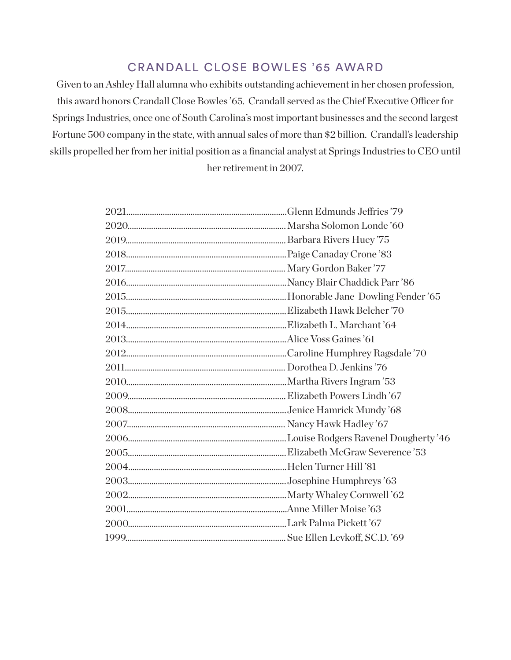## CRANDALL CLOSE BOWLES '65 AWARD

Given to an Ashley Hall alumna who exhibits outstanding achievement in her chosen profession, this award honors Crandall Close Bowles '65. Crandall served as the Chief Executive Officer for Springs Industries, once one of South Carolina's most important businesses and the second largest Fortune 500 company in the state, with annual sales of more than \$2 billion. Crandall's leadership skills propelled her from her initial position as a financial analyst at Springs Industries to CEO until

her retirement in 2007.